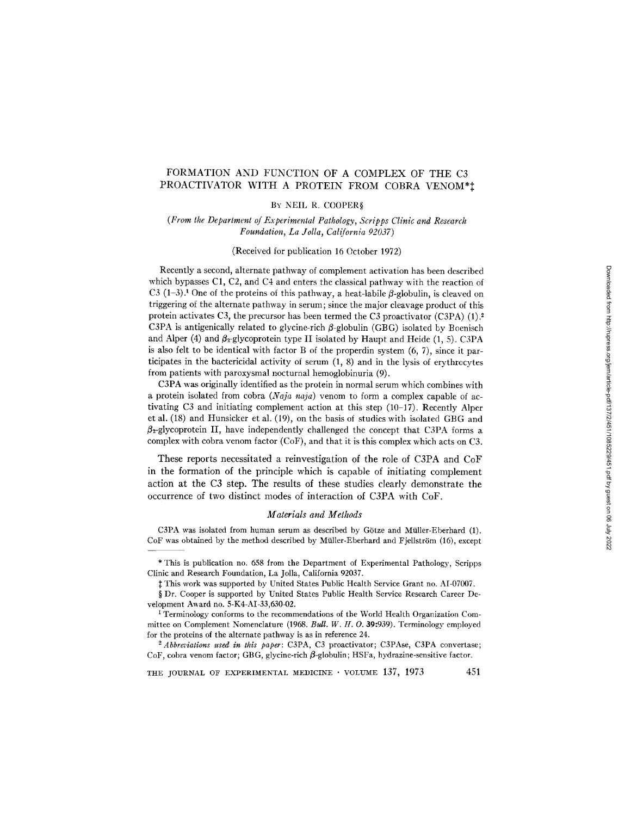# FORMATION AND FUNCTION OF A COMPLEX OF THE C3 PROACTIVATOR WITH A PROTEIN FROM COBRA VENOM\*!

# BY NEIL R. COOPER§

*(From the Department of Experimental Pathology, Scripps Clinic and Research Foundation, La Jolla, California 92037)* 

### (Received for publication 16 October 1972)

Recently a second, alternate pathway of complement activation has been described which bypasses C1, C2, and C4 and enters the classical pathway with the reaction of C3 (1-3).<sup>1</sup> One of the proteins of this pathway, a heat-labile  $\beta$ -globulin, is cleaved on triggering of the alternate pathway in serum; since the major cleavage product of this protein activates C3, the precursor has been termed the C3 proactivator (C3PA) (1).<sup>2</sup> C3PA is antigenically related to glycine-rich  $\beta$ -globulin (GBG) isolated by Boenisch and Alper (4) and  $\beta_{2}$ -glycoprotein type II isolated by Haupt and Heide (1, 5). C3PA is also felt to be identical with factor B of the properdin system  $(6, 7)$ , since it participates in the bactericidal activity of serum  $(1, 8)$  and in the lysis of erythrocytes from patients with paroxysmal nocturnal hemoglobinuria (9).

C3PA was originally identified as the protein in normal serum which combines with a protein isolated from cobra *(Naja naja)* venom to form a complex capable of activating C3 and initiating complement action at this step (10-17). Recently Alper et al. (18) and Hunsicker et al. (19), on the basis of studies with isolated GBG and  $\beta_{2}$ -glycoprotein II, have independently challenged the concept that C3PA forms a complex with cobra venom factor (CoF), and that it is this complex which acts on C3.

These reports necessitated a reinvestigation of the role of C3PA and CoF in the formation of the principle which is capable of initiating complement action at the C3 step. The results of these studies clearly demonstrate the occurrence of two distinct modes of interaction of C3PA with CoF.

# *Materials and Methods*

C3PA was isolated from human serum as described by Götze and Müller-Eberhard (1). CoF was obtained by the method described by Müller-Eberhard and Fjellström (16), except

<sup>\*</sup> This is publication no. 658 from the Department of Experimental Pathology, Scripps Clinic and Research Foundation, La Jolla, California 92037.

This work was supported by United States Public Health Service Grant no. AI-07007.

<sup>§</sup> Dr. Cooper is supported by United States Public Health Service Research Career Development Award no. 5-K4-AI-33,630-02.

<sup>&</sup>lt;sup>1</sup> Terminology conforms to the recommendations of the World Health Organization Committee on Complement Nomenclature (1968. *Bull. W. H. O.* 39:939). Terminology employed for the proteins of the alternate pathway is as in reference 24.

<sup>&</sup>lt;sup>2</sup> Abbreviations used in this paper: C3PA, C3 proactivator; C3PAse, C3PA convertase; CoF, cobra venom factor; GBG, glycine-rich  $\beta$ -globulin; HSFa, hydrazine-sensitive factor.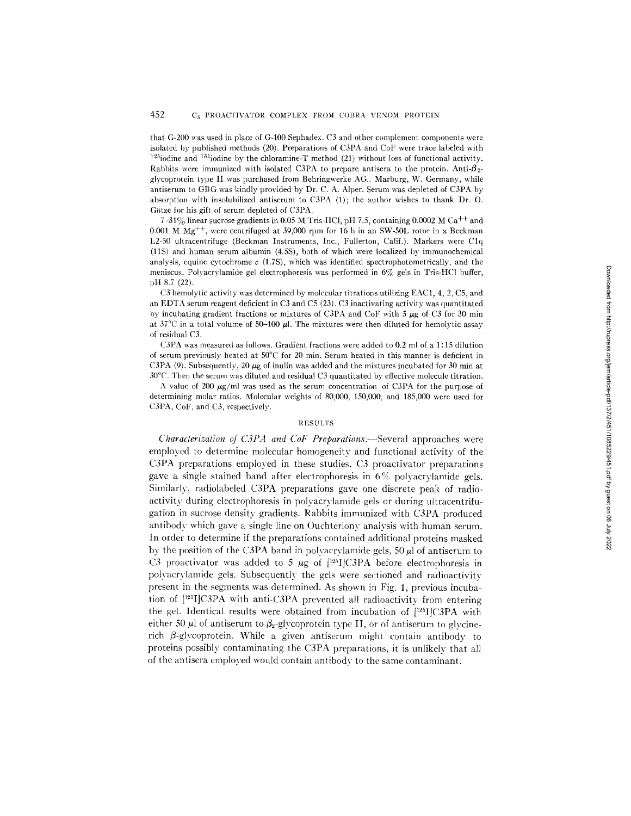that G-200 was used in place of G-100 Sephadex. C3 and other complement components were isolated by published methods (20). Preparations of C3PA and CoF were trace labeled with  $125$ iodine and  $131$ iodine by the chloramine-T method (21) without loss of functional activity. Rabbits were immunized with isolated C3PA to prepare antisera to the protein. Anti- $\beta_2$ glycoprotein type II was purchased from Behringwerke AG., Marburg, W. Germany, while antiserum to GBG was kindly provided by Dr. C. A. Alper. Serum was depleted of C3PA by absorption with insolubilized antiserum to C3PA (1); the author wishes to thank Dr. O. Götze for his gift of serum depleted of C3PA.

7-31% linear sucrose gradients in 0.05 M Tris-HCl, pH 7.5, containing 0.0002 M Ca<sup>++</sup> and 0.001 M  $Mg^{++}$ , were centrifuged at 39,000 rpm for 16 h in an SW-50L rotor in a Beckman 1,2-50 ultracentrifuge (Beckman Instruments, Inc., Fullerton, Calif.). Markers were Clq (llS) and human serum albumin (4.5S), both of which were localized by immunochemical analysis, equine cytochrome  $\epsilon$  (1.7S), which was identified spectrophotometrically, and the meniscus. Polyacrylamide gel electrophoresis was performed in  $6\%$  gels in Tris-HCl buffer, pH 8.7 (22).

C3 hemolytic activity was determined by molecular titrations utilizing EAC 1, 4, 2, C5, and an EDTA serum reagent deficient in C3 and C5 (23). C3 inactivating activity was quantitated by incubating gradient fractions or mixtures of C3PA and CoF with  $5 \mu$ g of C3 for 30 min at 37°C in a total volume of 50-100  $\mu$ . The mixtures were then diluted for hemolytic assay of residual C3.

C3PA was measured as follows. Gradient fractions were added to 0.2 ml of a 1 : 15 dilution of serum previously heated at  $50^{\circ}$ C for 20 min. Serum heated in this manner is deficient in C3PA (9). Subsequently, 20  $\mu$ g of inulin was added and the mixtures incubated for 30 min at 30°C. Then the serum was diluted and residual C3 quautitated by effective molecule titration.

A value of 200  $\mu$ g/ml was used as the serum concentration of C3PA for the purpose of determining molar ratios. Molecular weights of 80,000, 150,000, and 185,000 were used for C3PA, CoF, and C3, respectively.

#### **RESULTS**

*Characterization of C3PA and CoF Preparations.*—Several approaches were employed to determine molecular homogeneity and functional activity of the C3PA preparations employed in these studies. C3 proactivator preparations gave a single stained band after electrophoresis in  $6\%$  polyacrylamide gels. Similarly, radiolabeled C3PA preparations gave one discrete peak of radioactivity during electrophoresis in polyacrylamide gels or during ultracentrifugation in sucrose density gradients. Rabbits immunized with C3PA produced antibody which gave a single line on Ouchterlonv anatvsis with human serum. In order to determine if the preparations contained additional proteins masked by the position of the C3PA band in polyacrylamide gels,  $50 \mu l$  of antiserum to C3 proactivator was added to 5  $\mu$ g of [<sup>125</sup>]C3PA before electrophoresis in l)olyacrylamide gels. Subsequently the gels were sectioned and radioactivity present in the segments was determined. As shown in Fig. 1, previous incubation of [<sup>125</sup>I]C3PA with anti-C3PA prevented all radioactivity from entering the gel. Identical results were obtained from incubation of [125]]C3PA with either 50  $\mu$ l of antiserum to  $\beta_2$ -glycoprotein type II, or of antiserum to glycinerich  $\beta$ -glycoprotein. While a given antiserum might contain antibody to proteins possibly contaminating the C3PA preparations, it is unlikely that all of the antisera employed would contain antibody to the same contaminant.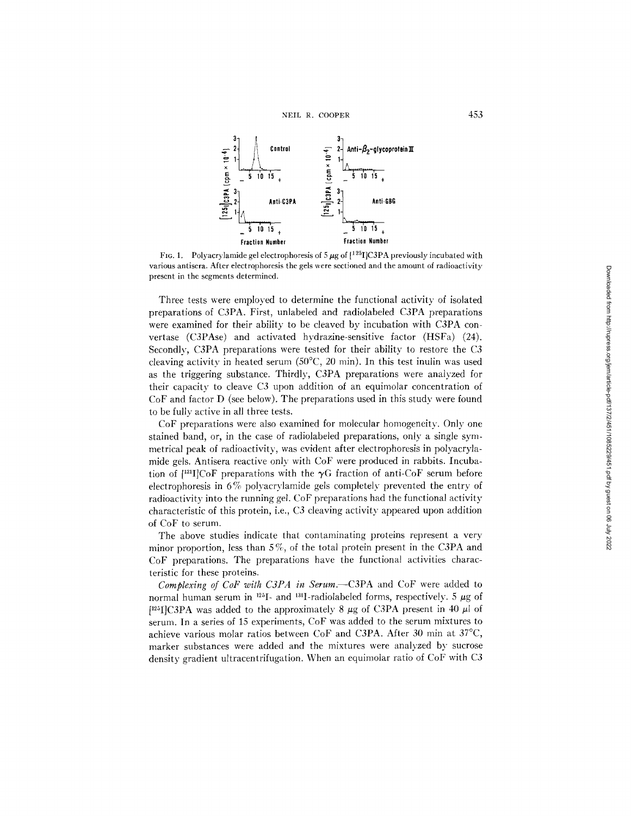

FIG. 1. Polyacrylamide gel electrophoresis of 5  $\mu$ g of  $[1^{25}]$ C3PA previously incubated with various antisera. After electrophoresis the gels were sectioned and the amount of radioactivity present in the segments determined.

Three tests were employed to determine the functional activity of isolated preparations of C3PA. First, unlabeled and radiolabeled C3PA preparations were examined for their ability to be cleaved by incubation with C3PA convertase (C3PAse) and activated hydrazine-sensitive factor (HSFa) (24). Secondly, C3PA preparations were tested for their ability to restore the C3 cleaving activity in heated serum  $(50^{\circ}C, 20 \text{ min})$ . In this test inulin was used as the triggering substance. Thirdly, C3PA preparations were analyzed for their capacity to cleave C3 upon addition of an equimolar concentration of CoF and factor D (see below). The preparations used in this study were found to be fully active in all three tests.

CoF preparations were also examined for molecular homogeneity. Only one stained band, or, in the case of radiolabeled preparations, only a single symmetrical peak of radioactivity, was evident after electrophoresis in polyacrylamide gels. Antisera reactive only with CoF were produced in rabbits. Incubation of  $[^{131}I]$ CoF preparations with the  $\gamma G$  fraction of anti-CoF serum before electrophoresis in 6% polyacrylamide gels completely prevented the entry of radioactivity into the running gel. CoF preparations had the functional activity characteristic of this protein, i.e., C3 cleaving activity appeared upon addition of CoF to serum.

The above studies indicate that contaminating proteins represent a very minor proportion, less than  $5\%$ , of the total protein present in the C3PA and CoF preparations. The preparations have the functional activities characteristic for these proteins.

*Complexing of CoF wilh C3PA in Serum.--C3PA* and CoF were added to normal human serum in <sup>125</sup>I- and <sup>131</sup>I-radiolabeled forms, respectively. 5  $\mu$ g of [ $125$ ]C3PA was added to the approximately- 8  $\mu$ g of C3PA present in 40  $\mu$  of serum. In a series of 15 experiments, CoF was added to the serum mixtures to achieve various molar ratios between CoF and C3PA. After 30 min at  $37^{\circ}$ C, marker substances were added and the mixtures were analyzed by sucrose density gradient ultracentrifugation. When an equimolar ratio of CoF with C3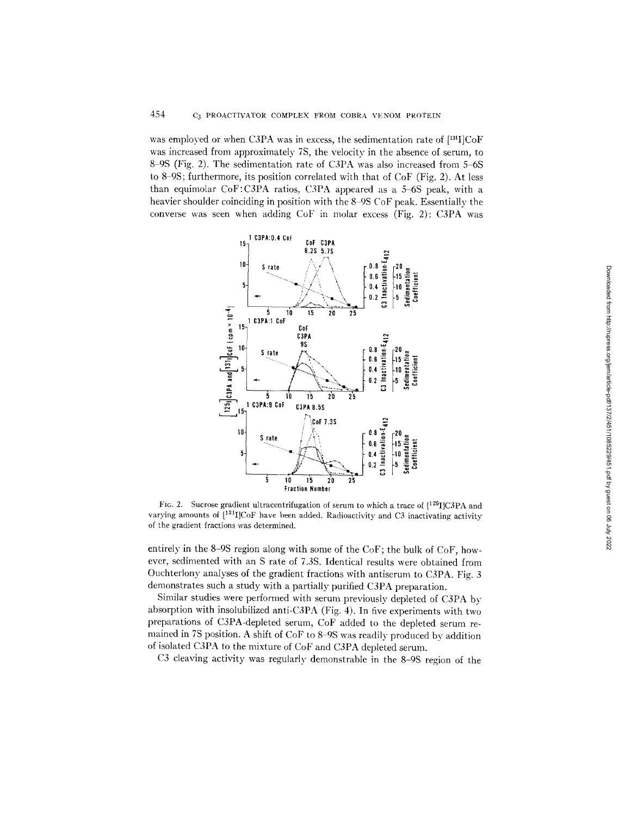was employed or when C3PA was in excess, the sedimentation rate of  $[^{131}]$ CoF was increased from approximately 7S, the velocity in the absence of serum, to 8 9S (Fig. 2). The sedimentation rate of C3PA was also increased from 5-6S to 8-9S; furthermore, its position correlated with that of CoF (Fig. 2). At less than equimolar CoF:C3PA ratios, C3PA appeared as a 5-6S peak, with a heavier shoulder coinciding in position with the 8-9S CoF peak. Essentially the converse was seen when adding CoF in molar excess (Fig. 2): C3PA was



FIG. 2. Sucrose gradient ultracentrifugation of serum to which a trace of  $[1^{25}I]C3PA$  and varying amounts of  $[131]$ CoF have been added. Radioactivity and C3 inactivating activity of the gradient fractions was determined.

entirely in the 8-9S region along with some of the CoF; the bulk of CoF, however, sedimented with an S rate of 7.3S. Identical results were obtained from Ouchterlony analyses of the gradient fractions with antiserum to C3PA. Fig. 3 demonstrates such a study with a partially purified C3PA preparation.

Similar studies were performed with serum previously depleted of C3PA by absorption with insolubilized anti-C3PA (Fig. 4). In five experiments with two preparations of C3PA-depleted serum, CoF added to the depleted serum remained in 7S position. A shift of CoF to 8-9S was readily produced by addition of isolated C3PA to the mixture of CoF and C3PA depleted serum.

C3 cleaving activity was regularly demonstrable in the 8-9S region of the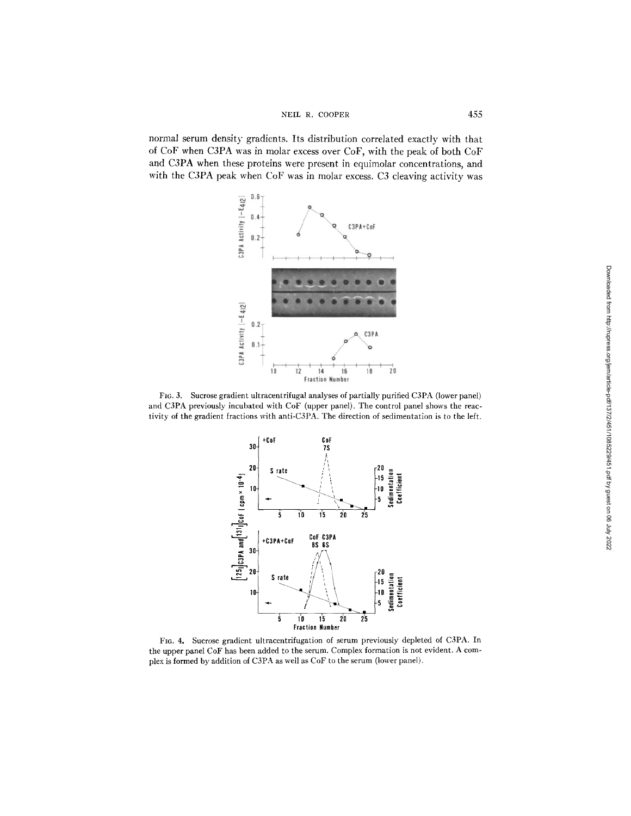normal serum density gradients. Its distribution correlated exactly with that of CoF when C3PA was in molar excess over CoF, with the peak of both CoF and C3PA when these proteins were present in equimolar concentrations, and with the C3PA peak when CoF was in molar excess. C3 cleaving activity was



FIG. 3. Sucrose gradient ultracentrifugal analyses of partially purified C3PA (lower panel) and C3PA previously incubated with CoF (upper panel). The control panel shows the reactivity of the gradient fractions with anti-C3PA. The direction of sedimentation is to the left.



FIG. 4. Sucrose gradient ultracentrifugation of serum previously depleted of C3PA. In the upper panel CoF has been added to the serum. Complex formation is not evident. A complex is formed by addition of C3PA as well as CoF to the serum (lower panel).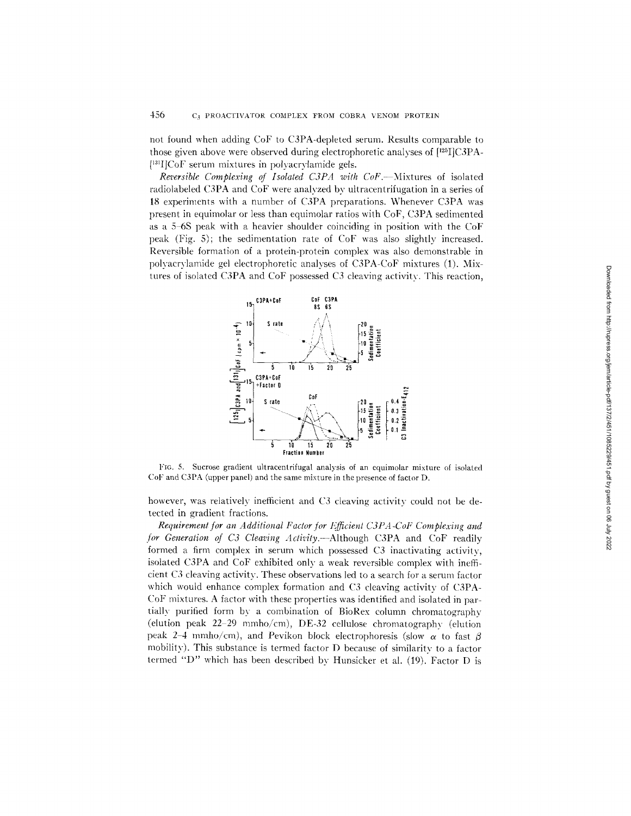not found when adding CoF to C3PA-depleted serum. Results comparable to those given above were observed during electrophoretic analyses of ['25I]C3PA- [<sup>131</sup>I]CoF serum mixtures in polyacrylamide gels.

*Reversible Complexing of Isolated C3PA with CoF.--Mixtures* of isolated radiolabeled C3PA and CoF were analyzed bv ultracentrifugation in a series of 18 experiments with a number of C3PA preparations. Whenever C3PA was present in equimolar or less than equimolar ratios with CoF, C3PA sedimented as a 5-6S peak with a heavier shoulder coinciding in position with the CoF peak (Fig. 5); the sedimentation rate of CoF was also slightly increased. Reversible formation of a protein-protein complex was also demonstrable in polyaerylamide gel electrophoretic analyses of C3PA-CoF mixtures (1). Mixtures of isolated C3PA and CoF possessed C3 cleaving activity. This reaction,



FIG. 5. Sucrose gradient ultracentrifugal analysis of an equimolar mixture of isolated CoF and C3PA (upper panel) and the same mixture in the presence of factor D.

however, was relatively inefficient and C3 cleaving activity could not be detected in gradient fractions.

*Requirement for an Additional Factor for Efficient C3PA-CoF Complexing and for Generation of C3 Cleaving Activity.---Although* C3PA and CoF readily formed a firm complex in serum which possessed C3 inactivating activity, isolated C3PA and CoF exhibited only a weak reversible complex with inefficient C3 cleaving activity. These observations led to a search for a serum factor which would enhance complex formation and C3 cleaving activity of C3PA-CoF mixtures. A factor with these properties was identified and isolated in partially purified form by a combination of BioRex colunm chromatography (elution peak  $22-29 \text{ mmho/cm}$ ), DE-32 cellulose chromatography (elution peak 2-4 mmho/cm), and Pevikon block electrophoresis (slow  $\alpha$  to fast  $\beta$ mobility). This substance is termed factor D because of similarity to a factor termed "D" which has been described by Hunsicker et al. (19). Factor D is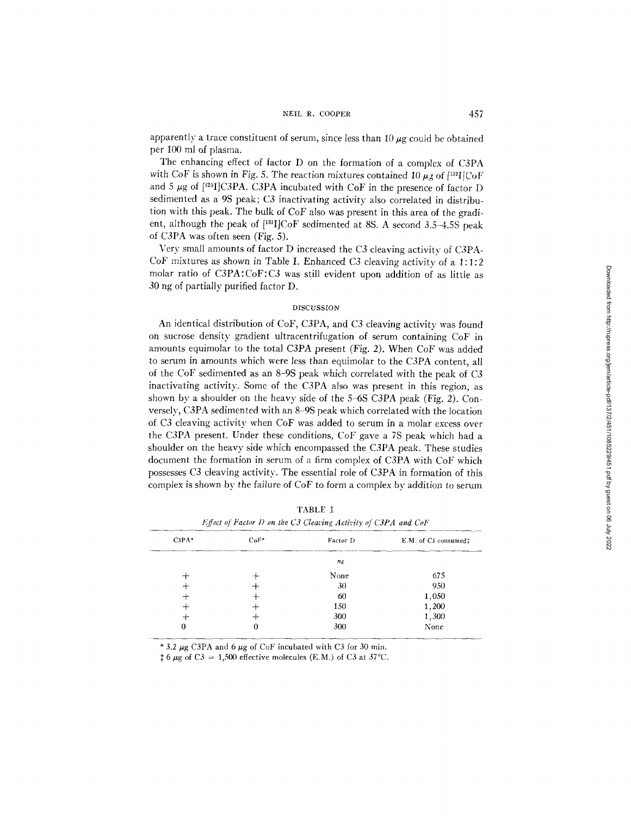apparently a trace constituent of serum, since less than 10  $\mu$ g could be obtained per 100 ml of plasma.

The enhancing effect of factor D on the formation of a complex of C3PA with CoF is shown in Fig. 5. The reaction mixtures contained 10  $\mu$ z of [<sup>131</sup>][CoF and 5  $\mu$ g of [<sup>125</sup>I]C3PA. C3PA incubated with CoF in the presence of factor D sedimented as a 9S peak; C3 inactivating activity also correlated in distribution with this peak. The bulk of CoF also was present in this area of the gradient, although the peak of  $[{}^{131}I]CoF$  sedimented at 8S. A second 3.5-4.5S peak of C3PA was often seen (Fig. 5).

Very small amounts of factor D increased the C3 cleaving activity of C3PA-CoF mixtures as shown in Table I. Enhanced C3 cleaving activity of a 1:1:2 molar ratio of C3PA:CoF:C3 was still evident upon addition of as little as 30 ng of partially purified factor D.

### DISCUSSION

An identical distribution of CoF, C3PA, and C3 cleaving activity was found on sucrose density gradient ultracentrifugation of serum containing CoF in amounts equimolar to the total C3PA present (Fig. 2). When CoF was added to serum in amounts which were less than equimolar to the C3PA content, all of the CoF sedimented as an 8-9S peak which correlated with the peak of C3 inactivating activity. Some of the C3PA also was present in this region, as shown by a shoulder on the heavy side of the 5-6S C3PA peak (Fig. 2). Conversely, C3PA sedimented with an 8-9S peak which correlated with the location of C3 cleaving activity when CoF was added to serum in a molar excess over the C3PA present. Under these conditions, CoF gave a 7S peak which had a shoulder on the heavy side which encompassed the C3PA peak. These studies document the formation in serum of a firm complex of C3PA with CoF which possesses C3 cleaving activity. The essential role of C3PA in formation of this complex is shown by the failure of CoF to form a complex by addition to serum

| $C3PA*$ | $CoF*$ | Factor D    | E.M. of C3 consumed: |
|---------|--------|-------------|----------------------|
|         |        | $n_{\rm g}$ |                      |
|         |        | None        | 675                  |
|         |        | 30          | 950                  |
| ┿       |        | 60          | 1,050                |
|         |        | 150         | 1,200                |
|         |        | 300         | 1,300                |
| 0       | 0      | 300         | None                 |

**"FABLE I**  *<i>liffect of Factor D on the C3 Cleating Activity of C3PA and CoF* 

\* 3.2  $\mu$ g C3PA and 6  $\mu$ g of CoF incubated with C3 for 30 min.

 $\ddagger$  6  $\mu$ g of C3 = 1,500 effective molecules (E.M.) of C3 at 37°C.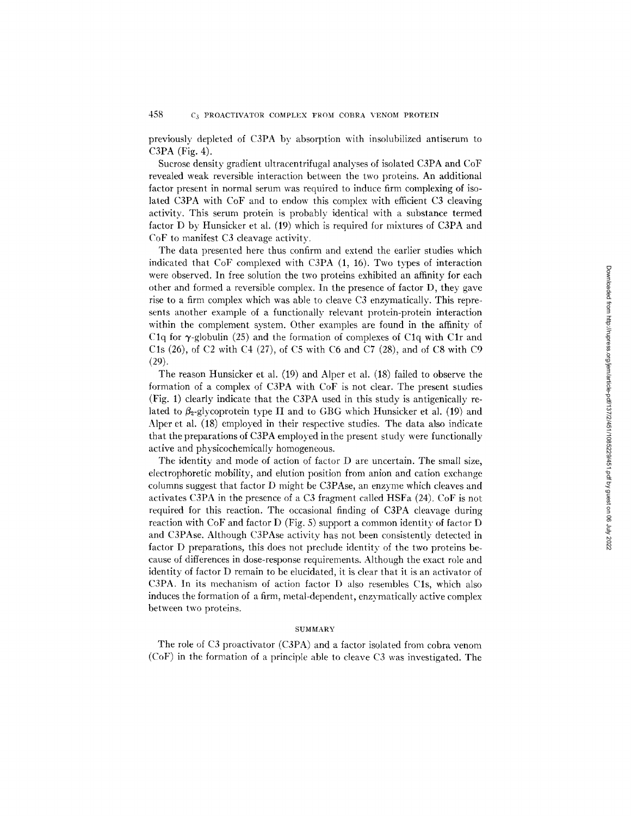previously depleted of C3PA by absorption with insolubilized antiserum to C3PA (Fig. 4).

Sucrose density gradient ultracentrifugal analyses of isolated C3PA and CoF revealed weak reversible interaction between the two proteins. An additional factor present in normal serum was required to induce firm complexing of isolated C3PA with CoF and to endow this complex with efficient C3 cleaving activity. This serum protein is probably identical with a substance termed factor D by Hunsicker et al. (19) which is required for mixtures of C3PA and CoF to manifest C3 cleavage activity.

The data presented here thus confirm and extend the earlier studies which indicated that CoF complexed with C3PA (1, 16). Two types of interaction were observed. In free solution the two proteins exhibited an affinity for each other and formed a reversible complex. In the presence of factor D, they gave rise to a firm complex which was able to cleave C3 enzymatically. This represents another example of a functionally relevant protein-protein interaction within the complement system. Other examples are found in the affinity of C<sub>1q</sub> for  $\gamma$ -globulin (25) and the formation of complexes of C<sub>1q</sub> with C<sub>1</sub>r and Cls (26), of C2 with C4 (27), of C5 with C6 and C7 (28), and of C8 with C9 (29).

The reason Hunsicker et al. (19) and Alper et al. (18) failed to observe the formation of a complex of C3PA with CoF is not clear. The present studies (Fig. 1) clearly indicate that the C3PA used in this study is antigenically related to  $\beta_2$ -glycoprotein type II and to GBG which Hunsicker et al. (19) and Alper et al. (18) employed in their respective studies. The data also indicate that the preparations of C3PA employed in the present study were functionally active and physicochemically homogeneous.

The identity and mode of action of factor D are uncertain. The small size, electrophoretic mobility, and elution position from anion and cation exchange columns suggest that factor D might be C3PAse, an enzyme which cleaves and activates C3PA in the presence of a C3 fragment called HSFa (24). CoF is not required for this reaction. The occasional finding of C3PA cleavage during reaction with CoF and factor D (Fig. 5) support a common identity of factor D and C3PAse. Although C3PAse activity has not been consistently detected in factor D preparations, this does not preclude identity of the two proteins because of differences in dose-response requirements. Although the exact role and identity of factor D remain to be elucidated, it is clear that it is an activator of C3PA. In its mechanism of action factor D also resembles Cls, which also induces the formation of a firm, metal-dependent, enzymatically active complex between two proteins.

# **SUMMARY**

The role of C3 proactivator (C3PA) and a factor isolated from cobra venom (CoF) in the formation of a principle able to cleave C3 was investigated. The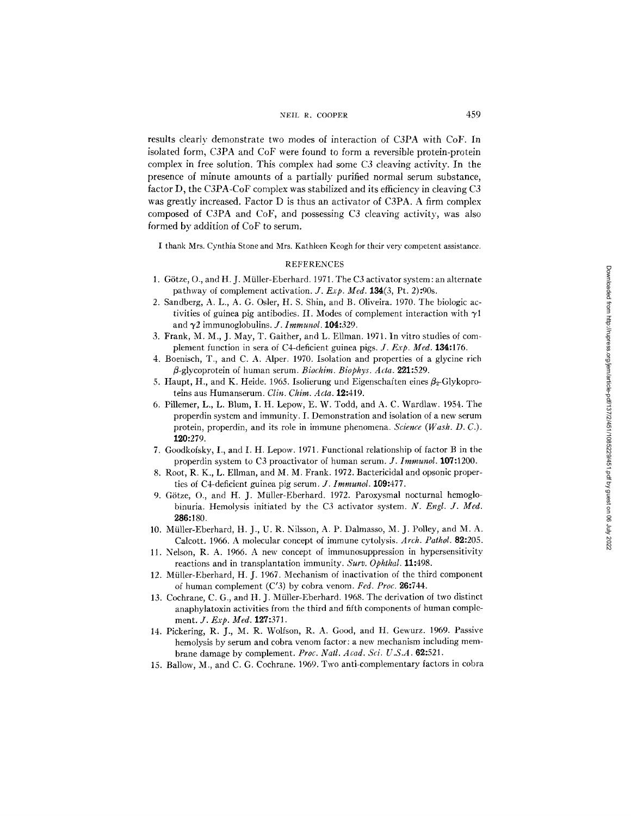# *NEIL* R. COOPER 459

results clearly demonstrate two modes of interaction of C3PA with CoF. In isolated form, C3PA and CoF were found to form a reversible protein-protein complex in free solution. This complex had some C3 cleaving activity. In the presence of minute amounts of a partially purified normal serum substance, factor D, the C3PA-CoF complex was stabilized and its efficiency in cleaving C3 was greatly increased. Factor D is thus an activator of C3PA. A firm complex composed of C3PA and CoF, and possessing C3 cleaving activity, was also formed by addition of CoF to serum.

I thank Mrs. Cynthia Stone and Mrs. Kathleen Keogh for their very competent assistance.

### REFERENCES

- 1. Götze, O., and H. J. Müller-Eberhard. 1971. The C3 activator system: an alternate pathway of complement activation.  $J. E x \phi$ .  $Med. 134(3, Pt. 2):90s$ .
- 2. Sandberg, A. L., A. G. Osier, H. S. Shin, and B. Oliveira. 1970. The biologic activities of guinea pig antibodies. II. Modes of complement interaction with  $\gamma$ 1 and  $\gamma$ 2 immunoglobulins. *J. Immunol*. **104:**329.
- 3. Frank, M. M., J. May, T. Gaither, and L. Ellman. 1971. In vitro studies of complement function in sera of C4-deficient guinea pigs. *J. Exp. Med.* 134:176.
- 4. Boenisch, T., and C. A. Alper. 1970. Isolation and properties of a glycine rich fl-glycoprotein of human serum. *Biochim. Biophys. Acta.* 221:529.
- 5. Haupt, H., and K. Heide. 1965. Isolierung und Eigenschaften eines  $\beta_2$ -Glykoproteins aus Humanserum. *Clin. Chim. Acta.* 12:419.
- 6. Pillemer, L., L. Blum, I. H. Lepow, E. W. Todd, and A. C. Wardlaw. 1954. The properdin system and immunity. I. Demonstration and isolation of a new serum protein, properdin, and its role in immune phenomena. *Science (Wash. D. C.).*  120:279.
- 7. Goodkofsky, I., and I. H. Lepow. 1971. Functional relationship of factor B in the properdin system to C3 proactivator of human serum. *J. Immunol*. **107:**1200.
- 8. Root, R. K., L. Ellman, and M. M. Frank. 1972. Bactericidal and opsonic properties of C4-deficient guinea pig serum. *J. Immunol.* 109:477.
- 9. Götze, O., and H. J. Müller-Eberhard. 1972. Paroxysmal nocturnal hemoglobinuria. Hemolysis initiated by the C3 activator system. *N. Engl. J. Med.*  286:180.
- 10. Mtiller-Eberhard, H. J., U. R. Nilsson, A. P. Dalmasso, M. J. Polley, and M. A. Calcott. 1966. A molecular concept of immune cytolysis. *Arch. Pathol.* 82:205.
- 11. Nelson, R. A. 1966. A new concept of immunosuppression in hypersensitivity reactions and in transplantation immunity. *Surv. Ophthal.* 11:498.
- 12. Mtiller-Eberhard, H. J. 1967. Mechanism of inactivation of the third component of human complement (C'3) by cobra venom. *Fed. Proc.* 26:744.
- 13. Cochrane, C. G., and H. J. Müller-Eberhard. 1968. The derivation of two distinct anaphylatoxin activities from the third and fifth components of human complement. *J. Exp. Med.* **127:**371.
- 14. Pickering, R. J., M. R. Wolfson, R. A. Good, and H. Gewurz. 1969. Passive hemolysis by serum and cobra venom factor: a new mechanism including membrane damage by complement. *Proc. Natl. Acad. Sci. U.S.A.* 62:521.
- 15. Ballow, M., and C. G. Cochrane. 1969. Two anti-complementary factors in cobra